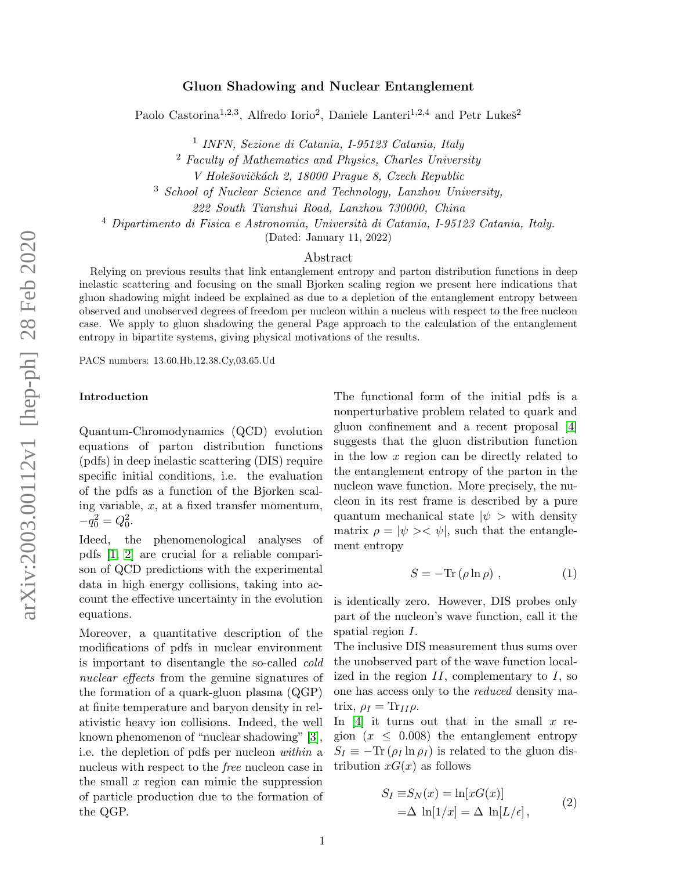## Gluon Shadowing and Nuclear Entanglement

Paolo Castorina<sup>1,2,3</sup>, Alfredo Iorio<sup>2</sup>, Daniele Lanteri<sup>1,2,4</sup> and Petr Lukes<sup>2</sup>

1 INFN, Sezione di Catania, I-95123 Catania, Italy

<sup>2</sup> Faculty of Mathematics and Physics, Charles University

V Holešovičkách 2, 18000 Prague 8, Czech Republic

<sup>3</sup> School of Nuclear Science and Technology, Lanzhou University,

222 South Tianshui Road, Lanzhou 730000, China

 $4$  Dipartimento di Fisica e Astronomia, Università di Catania, I-95123 Catania, Italy.

(Dated: January 11, 2022)

### Abstract

Relying on previous results that link entanglement entropy and parton distribution functions in deep inelastic scattering and focusing on the small Bjorken scaling region we present here indications that gluon shadowing might indeed be explained as due to a depletion of the entanglement entropy between observed and unobserved degrees of freedom per nucleon within a nucleus with respect to the free nucleon case. We apply to gluon shadowing the general Page approach to the calculation of the entanglement entropy in bipartite systems, giving physical motivations of the results.

PACS numbers: 13.60.Hb,12.38.Cy,03.65.Ud

#### Introduction

Quantum-Chromodynamics (QCD) evolution equations of parton distribution functions (pdfs) in deep inelastic scattering (DIS) require specific initial conditions, i.e. the evaluation of the pdfs as a function of the Bjorken scaling variable,  $x$ , at a fixed transfer momentum,  $-q_0^2 = Q_0^2.$ 

Ideed, the phenomenological analyses of pdfs [\[1,](#page-6-0) [2\]](#page-6-1) are crucial for a reliable comparison of QCD predictions with the experimental data in high energy collisions, taking into account the effective uncertainty in the evolution equations.

Moreover, a quantitative description of the modifications of pdfs in nuclear environment is important to disentangle the so-called cold nuclear effects from the genuine signatures of the formation of a quark-gluon plasma (QGP) at finite temperature and baryon density in relativistic heavy ion collisions. Indeed, the well known phenomenon of "nuclear shadowing" [\[3\]](#page-6-2), i.e. the depletion of pdfs per nucleon within a nucleus with respect to the free nucleon case in the small  $x$  region can mimic the suppression of particle production due to the formation of the QGP.

The functional form of the initial pdfs is a nonperturbative problem related to quark and gluon confinement and a recent proposal [\[4\]](#page-6-3) suggests that the gluon distribution function in the low x region can be directly related to the entanglement entropy of the parton in the nucleon wave function. More precisely, the nucleon in its rest frame is described by a pure quantum mechanical state  $|\psi\rangle$  with density matrix  $\rho = |\psi\rangle \langle \psi|$ , such that the entanglement entropy

$$
S = -\text{Tr}\left(\rho \ln \rho\right) \,,\tag{1}
$$

is identically zero. However, DIS probes only part of the nucleon's wave function, call it the spatial region I.

The inclusive DIS measurement thus sums over the unobserved part of the wave function localized in the region  $II$ , complementary to  $I$ , so one has access only to the reduced density matrix,  $\rho_I = \text{Tr}_{II} \rho$ .

In  $[4]$  it turns out that in the small x region  $(x \leq 0.008)$  the entanglement entropy  $S_I \equiv -\text{Tr}(\rho_I \ln \rho_I)$  is related to the gluon distribution  $xG(x)$  as follows

<span id="page-0-0"></span>
$$
S_I \equiv S_N(x) = \ln[xG(x)]
$$
  
=\Delta \ln[1/x] = \Delta \ln[L/\epsilon], (2)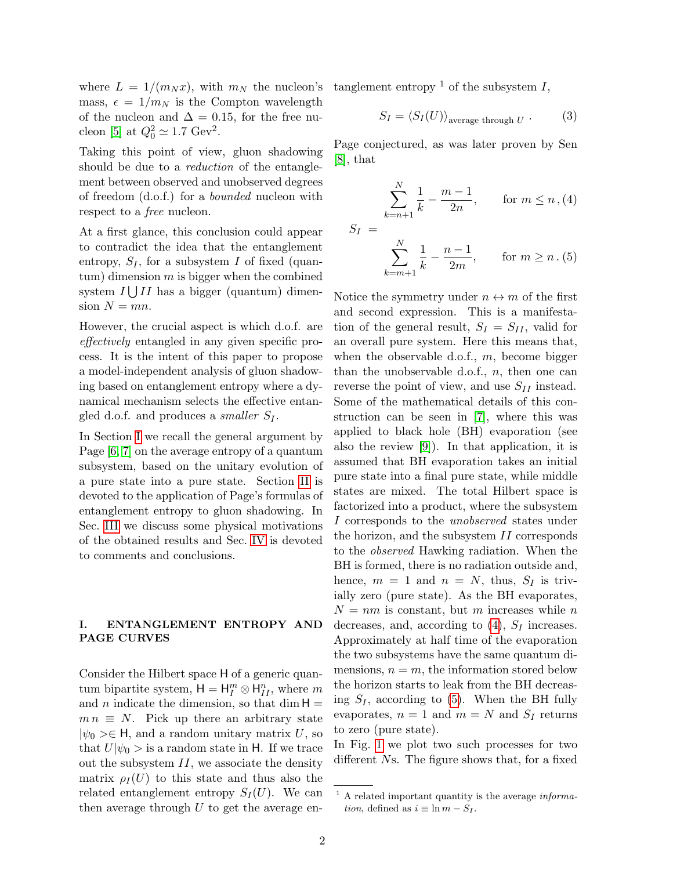where  $L = 1/(m_N x)$ , with  $m_N$  the nucleon's mass,  $\epsilon = 1/m_N$  is the Compton wavelength of the nucleon and  $\Delta = 0.15$ , for the free nu-cleon [\[5\]](#page-6-4) at  $Q_0^2 \simeq 1.7 \text{ GeV}^2$ .

Taking this point of view, gluon shadowing should be due to a *reduction* of the entanglement between observed and unobserved degrees of freedom (d.o.f.) for a bounded nucleon with respect to a free nucleon.

At a first glance, this conclusion could appear to contradict the idea that the entanglement entropy,  $S_I$ , for a subsystem I of fixed (quan $tum$ ) dimension m is bigger when the combined system  $I \bigcup II$  has a bigger (quantum) dimension  $N = mn$ .

However, the crucial aspect is which d.o.f. are effectively entangled in any given specific process. It is the intent of this paper to propose a model-independent analysis of gluon shadowing based on entanglement entropy where a dynamical mechanism selects the effective entangled d.o.f. and produces a *smaller*  $S_I$ .

In Section [I](#page-1-0) we recall the general argument by Page [\[6,](#page-6-5) [7\]](#page-6-6) on the average entropy of a quantum subsystem, based on the unitary evolution of a pure state into a pure state. Section [II](#page-2-0) is devoted to the application of Page's formulas of entanglement entropy to gluon shadowing. In Sec. [III](#page-4-0) we discuss some physical motivations of the obtained results and Sec. [IV](#page-5-0) is devoted to comments and conclusions.

# <span id="page-1-0"></span>I. ENTANGLEMENT ENTROPY AND PAGE CURVES

Consider the Hilbert space H of a generic quantum bipartite system,  $H = H_I^m \otimes H_{II}^n$ , where m and n indicate the dimension, so that dim  $H =$  $mn \equiv N$ . Pick up there an arbitrary state  $|\psi_0\rangle \in \mathsf{H}$ , and a random unitary matrix U, so that  $U|\psi_0\rangle$  is a random state in H. If we trace out the subsystem  $II$ , we associate the density matrix  $\rho_I(U)$  to this state and thus also the related entanglement entropy  $S_I(U)$ . We can then average through  $U$  to get the average entanglement entropy  $\frac{1}{1}$  of the subsystem I,

$$
S_I = \langle S_I(U) \rangle_{\text{average through } U} . \tag{3}
$$

Page conjectured, as was later proven by Sen [\[8\]](#page-6-7), that

<span id="page-1-1"></span>
$$
S_I = \sum_{k=n+1}^{N} \frac{1}{k} - \frac{m-1}{2n}, \quad \text{for } m \le n, (4)
$$
  

$$
S_I = \sum_{k=m+1}^{N} \frac{1}{k} - \frac{n-1}{2m}, \quad \text{for } m \ge n. (5)
$$

Notice the symmetry under  $n \leftrightarrow m$  of the first and second expression. This is a manifestation of the general result,  $S_I = S_{II}$ , valid for an overall pure system. Here this means that, when the observable d.o.f.,  $m$ , become bigger than the unobservable d.o.f.,  $n$ , then one can reverse the point of view, and use  $S_{II}$  instead. Some of the mathematical details of this construction can be seen in [\[7\]](#page-6-6), where this was applied to black hole (BH) evaporation (see also the review [\[9\]](#page-6-8)). In that application, it is assumed that BH evaporation takes an initial pure state into a final pure state, while middle states are mixed. The total Hilbert space is factorized into a product, where the subsystem I corresponds to the *unobserved* states under the horizon, and the subsystem II corresponds to the observed Hawking radiation. When the BH is formed, there is no radiation outside and, hence,  $m = 1$  and  $n = N$ , thus,  $S_I$  is trivially zero (pure state). As the BH evaporates,  $N = nm$  is constant, but m increases while n decreases, and, according to  $(4)$ ,  $S_I$  increases. Approximately at half time of the evaporation the two subsystems have the same quantum dimensions,  $n = m$ , the information stored below the horizon starts to leak from the BH decreasing  $S_I$ , according to [\(5\)](#page-1-1). When the BH fully evaporates,  $n = 1$  and  $m = N$  and  $S_I$  returns to zero (pure state).

In Fig. [1](#page-2-1) we plot two such processes for two different Ns. The figure shows that, for a fixed

<sup>1</sup> A related important quantity is the average information, defined as  $i \equiv \ln m - S_I$ .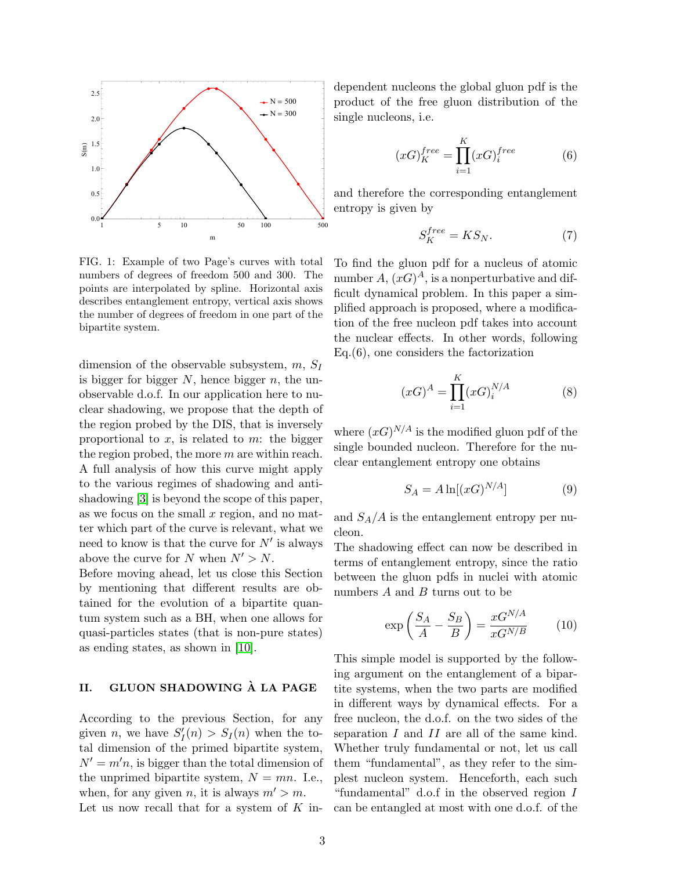

<span id="page-2-1"></span>FIG. 1: Example of two Page's curves with total numbers of degrees of freedom 500 and 300. The points are interpolated by spline. Horizontal axis describes entanglement entropy, vertical axis shows the number of degrees of freedom in one part of the bipartite system.

dimension of the observable subsystem,  $m$ ,  $S_I$ is bigger for bigger  $N$ , hence bigger  $n$ , the unobservable d.o.f. In our application here to nuclear shadowing, we propose that the depth of the region probed by the DIS, that is inversely proportional to  $x$ , is related to  $m$ : the bigger the region probed, the more m are within reach. A full analysis of how this curve might apply to the various regimes of shadowing and antishadowing [\[3\]](#page-6-2) is beyond the scope of this paper, as we focus on the small  $x$  region, and no matter which part of the curve is relevant, what we need to know is that the curve for  $N'$  is always above the curve for N when  $N' > N$ .

Before moving ahead, let us close this Section by mentioning that different results are obtained for the evolution of a bipartite quantum system such as a BH, when one allows for quasi-particles states (that is non-pure states) as ending states, as shown in [\[10\]](#page-6-9).

# <span id="page-2-0"></span>II. GLUON SHADOWING À LA PAGE

According to the previous Section, for any given *n*, we have  $S_I'(n) > S_I(n)$  when the total dimension of the primed bipartite system,  $N' = m'n$ , is bigger than the total dimension of the unprimed bipartite system,  $N = mn$ . I.e., when, for any given n, it is always  $m' > m$ . Let us now recall that for a system of  $K$  independent nucleons the global gluon pdf is the product of the free gluon distribution of the single nucleons, i.e.

$$
(xG)_K^{free} = \prod_{i=1}^K (xG)_i^{free} \tag{6}
$$

and therefore the corresponding entanglement entropy is given by

$$
S_K^{free} = KS_N. \tag{7}
$$

To find the gluon pdf for a nucleus of atomic number  $A, (xG)^A$ , is a nonperturbative and difficult dynamical problem. In this paper a simplified approach is proposed, where a modification of the free nucleon pdf takes into account the nuclear effects. In other words, following Eq.(6), one considers the factorization

$$
(xG)^A = \prod_{i=1}^K (xG)^{N/A}_i \tag{8}
$$

where  $(xG)^{N/A}$  is the modified gluon pdf of the single bounded nucleon. Therefore for the nuclear entanglement entropy one obtains

$$
S_A = A \ln[(xG)^{N/A}] \tag{9}
$$

and  $S_A/A$  is the entanglement entropy per nucleon.

The shadowing effect can now be described in terms of entanglement entropy, since the ratio between the gluon pdfs in nuclei with atomic numbers  $A$  and  $B$  turns out to be

$$
\exp\left(\frac{S_A}{A} - \frac{S_B}{B}\right) = \frac{xG^{N/A}}{xG^{N/B}}\tag{10}
$$

This simple model is supported by the following argument on the entanglement of a bipartite systems, when the two parts are modified in different ways by dynamical effects. For a free nucleon, the d.o.f. on the two sides of the separation I and II are all of the same kind. Whether truly fundamental or not, let us call them "fundamental", as they refer to the simplest nucleon system. Henceforth, each such "fundamental" d.o.f in the observed region I can be entangled at most with one d.o.f. of the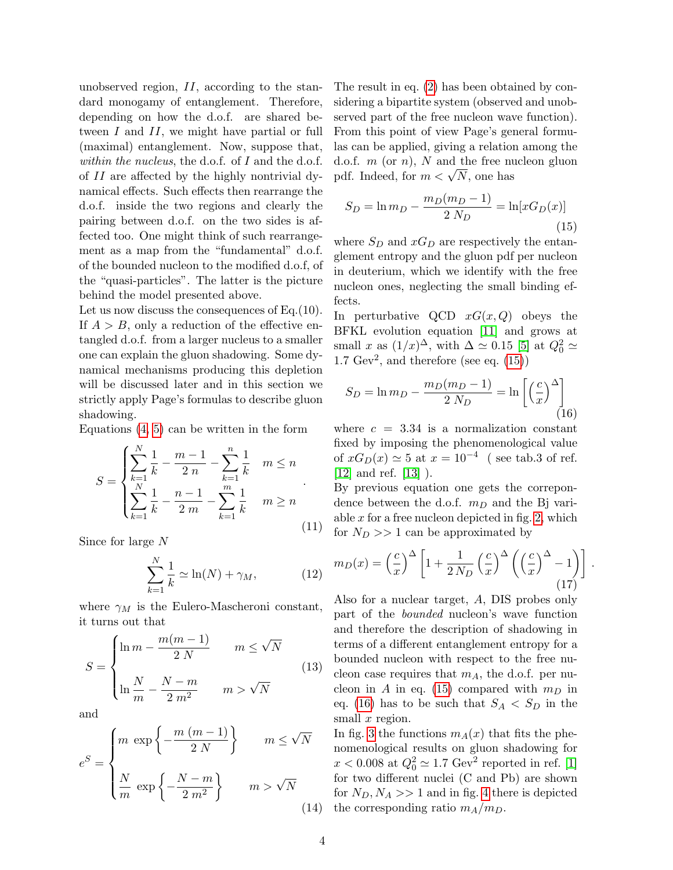unobserved region, II, according to the standard monogamy of entanglement. Therefore, depending on how the d.o.f. are shared between I and II, we might have partial or full (maximal) entanglement. Now, suppose that, within the nucleus, the d.o.f. of  $I$  and the d.o.f. of II are affected by the highly nontrivial dynamical effects. Such effects then rearrange the d.o.f. inside the two regions and clearly the pairing between d.o.f. on the two sides is affected too. One might think of such rearrangement as a map from the "fundamental" d.o.f. of the bounded nucleon to the modified d.o.f, of the "quasi-particles". The latter is the picture behind the model presented above.

Let us now discuss the consequences of Eq.(10). If  $A > B$ , only a reduction of the effective entangled d.o.f. from a larger nucleus to a smaller one can explain the gluon shadowing. Some dynamical mechanisms producing this depletion will be discussed later and in this section we strictly apply Page's formulas to describe gluon shadowing.

Equations  $(4, 5)$  can be written in the form

$$
S = \begin{cases} \sum_{k=1}^{N} \frac{1}{k} - \frac{m-1}{2n} - \sum_{k=1}^{n} \frac{1}{k} & m \le n \\ \sum_{k=1}^{N} \frac{1}{k} - \frac{n-1}{2m} - \sum_{k=1}^{m} \frac{1}{k} & m \ge n \end{cases} \tag{11}
$$

Since for large N

$$
\sum_{k=1}^{N} \frac{1}{k} \simeq \ln(N) + \gamma_M, \qquad (12)
$$

where  $\gamma_M$  is the Eulero-Mascheroni constant, it turns out that

$$
S = \begin{cases} \ln m - \frac{m(m-1)}{2N} & m \le \sqrt{N} \\ \ln \frac{N}{m} - \frac{N-m}{2m^2} & m > \sqrt{N} \end{cases}
$$
(13)

and

$$
e^{S} = \begin{cases} m \exp\left\{-\frac{m(m-1)}{2 N}\right\} & m \leq \sqrt{N} \\ \frac{N}{m} \exp\left\{-\frac{N-m}{2 m^{2}}\right\} & m > \sqrt{N} \end{cases}
$$
(14)

The result in eq. [\(2\)](#page-0-0) has been obtained by considering a bipartite system (observed and unobserved part of the free nucleon wave function). From this point of view Page's general formulas can be applied, giving a relation among the d.o.f.  $m$  (or  $n$ ),  $N$  and the free nucleon gluon a.o.i. *m* (or *n*), *N* and the free m<br>pdf. Indeed, for  $m < \sqrt{N}$ , one has

<span id="page-3-0"></span>
$$
S_D = \ln m_D - \frac{m_D(m_D - 1)}{2 N_D} = \ln[xG_D(x)]
$$
\n(15)

where  $S_D$  and  $xG_D$  are respectively the entanglement entropy and the gluon pdf per nucleon in deuterium, which we identify with the free nucleon ones, neglecting the small binding effects.

In perturbative QCD  $xG(x, Q)$  obeys the BFKL evolution equation [\[11\]](#page-6-10) and grows at small x as  $(1/x)^{\Delta}$ , with  $\Delta \simeq 0.15$  [\[5\]](#page-6-4) at  $Q_0^2 \simeq$ 1.7  $Gev^2$ , and therefore (see eq.  $(15)$ )

<span id="page-3-1"></span>
$$
S_D = \ln m_D - \frac{m_D(m_D - 1)}{2 N_D} = \ln \left[ \left(\frac{c}{x}\right)^{\Delta} \right]
$$
\n(16)

where  $c = 3.34$  is a normalization constant fixed by imposing the phenomenological value of  $xG_D(x) \simeq 5$  at  $x = 10^{-4}$  (see tab.3 of ref. [\[12\]](#page-6-11) and ref. [\[13\]](#page-6-12) ).

By previous equation one gets the correpondence between the d.o.f.  $m_D$  and the Bj variable  $x$  for a free nucleon depicted in fig. [2,](#page-4-1) which for  $N_D >> 1$  can be approximated by

<span id="page-3-2"></span>
$$
m_D(x) = \left(\frac{c}{x}\right)^{\Delta} \left[1 + \frac{1}{2N_D} \left(\frac{c}{x}\right)^{\Delta} \left(\left(\frac{c}{x}\right)^{\Delta} - 1\right)\right].
$$
\n(17)

Also for a nuclear target, A, DIS probes only part of the bounded nucleon's wave function and therefore the description of shadowing in terms of a different entanglement entropy for a bounded nucleon with respect to the free nucleon case requires that  $m_A$ , the d.o.f. per nu-cleon in A in eq. [\(15\)](#page-3-0) compared with  $m_D$  in eq. [\(16\)](#page-3-1) has to be such that  $S_A < S_D$  in the small  $x$  region.

In fig. [3](#page-4-2) the functions  $m_A(x)$  that fits the phenomenological results on gluon shadowing for  $x < 0.008$  at  $Q_0^2 \simeq 1.7$  Gev<sup>2</sup> reported in ref. [\[1\]](#page-6-0) for two different nuclei (C and Pb) are shown for  $N_D$ ,  $N_A$  >> 1 and in fig. [4](#page-4-3) there is depicted the corresponding ratio  $m_A/m_D$ .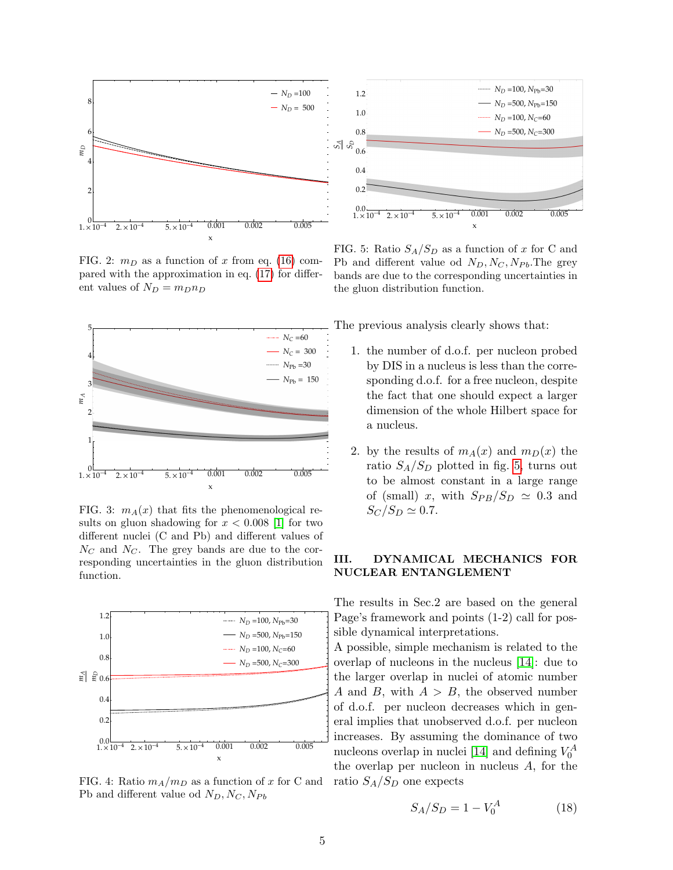

<span id="page-4-1"></span>FIG. 2:  $m_D$  as a function of x from eq. [\(16\)](#page-3-1) compared with the approximation in eq. [\(17\)](#page-3-2) for different values of  $N_D = m_D n_D$ 



<span id="page-4-2"></span>FIG. 3:  $m_A(x)$  that fits the phenomenological results on gluon shadowing for  $x < 0.008$  [\[1\]](#page-6-0) for two different nuclei (C and Pb) and different values of  $N_C$  and  $N_C$ . The grey bands are due to the corresponding uncertainties in the gluon distribution function.



<span id="page-4-3"></span>FIG. 4: Ratio  $m_A/m_D$  as a function of x for C and Pb and different value od  $N_D, N_C, N_{Pb}$ 



<span id="page-4-4"></span>FIG. 5: Ratio  $S_A/S_D$  as a function of x for C and Pb and different value od  $N_D, N_C, N_{Pb}$ . The grey bands are due to the corresponding uncertainties in the gluon distribution function.

The previous analysis clearly shows that:

- 1. the number of d.o.f. per nucleon probed by DIS in a nucleus is less than the corresponding d.o.f. for a free nucleon, despite the fact that one should expect a larger dimension of the whole Hilbert space for a nucleus.
- 2. by the results of  $m_A(x)$  and  $m_D(x)$  the ratio  $S_A/S_D$  plotted in fig. [5,](#page-4-4) turns out to be almost constant in a large range of (small) x, with  $S_{PB}/S_D \simeq 0.3$  and  $S_C/S_D \simeq 0.7.$

### <span id="page-4-0"></span>III. DYNAMICAL MECHANICS FOR NUCLEAR ENTANGLEMENT

The results in Sec.2 are based on the general Page's framework and points (1-2) call for possible dynamical interpretations.

A possible, simple mechanism is related to the overlap of nucleons in the nucleus [\[14\]](#page-6-13): due to the larger overlap in nuclei of atomic number A and B, with  $A > B$ , the observed number of d.o.f. per nucleon decreases which in general implies that unobserved d.o.f. per nucleon increases. By assuming the dominance of two nucleons overlap in nuclei [\[14\]](#page-6-13) and defining  $V_0^A$ the overlap per nucleon in nucleus  $A$ , for the ratio  $S_A/S_D$  one expects

$$
S_A/S_D = 1 - V_0^A \tag{18}
$$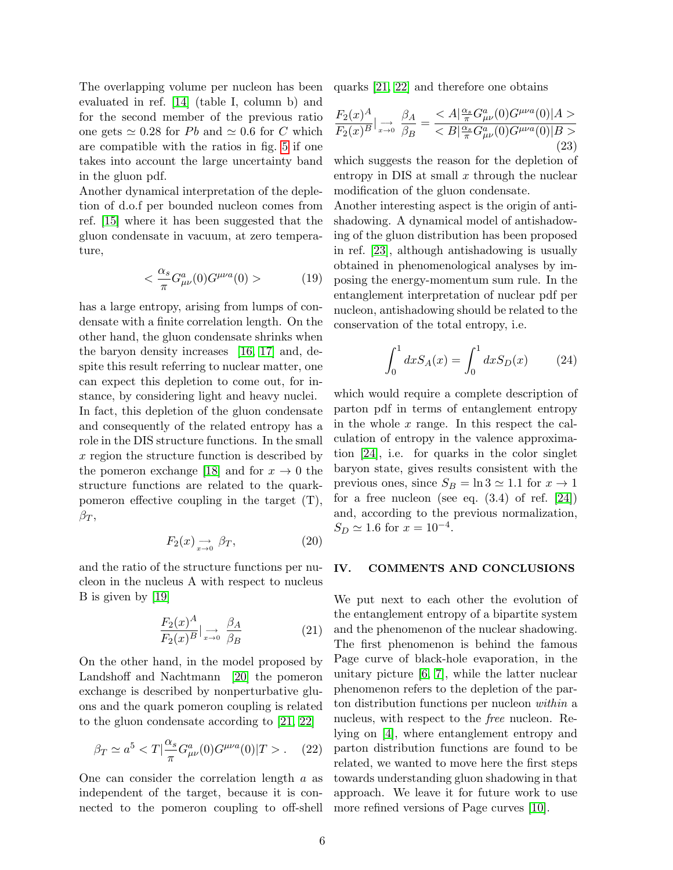The overlapping volume per nucleon has been evaluated in ref. [\[14\]](#page-6-13) (table I, column b) and for the second member of the previous ratio one gets  $\simeq 0.28$  for Pb and  $\simeq 0.6$  for C which are compatible with the ratios in fig. [5](#page-4-4) if one takes into account the large uncertainty band in the gluon pdf.

Another dynamical interpretation of the depletion of d.o.f per bounded nucleon comes from ref. [\[15\]](#page-6-14) where it has been suggested that the gluon condensate in vacuum, at zero temperature,

$$
\langle \frac{\alpha_s}{\pi} G^a_{\mu\nu}(0) G^{\mu\nu a}(0) \rangle \tag{19}
$$

has a large entropy, arising from lumps of condensate with a finite correlation length. On the other hand, the gluon condensate shrinks when the baryon density increases [\[16,](#page-6-15) [17\]](#page-6-16) and, despite this result referring to nuclear matter, one can expect this depletion to come out, for instance, by considering light and heavy nuclei. In fact, this depletion of the gluon condensate and consequently of the related entropy has a role in the DIS structure functions. In the small x region the structure function is described by the pomeron exchange [\[18\]](#page-6-17) and for  $x \to 0$  the structure functions are related to the quarkpomeron effective coupling in the target (T),  $\beta_T$ ,

$$
F_2(x) \underset{x \to 0}{\longrightarrow} \beta_T, \tag{20}
$$

and the ratio of the structure functions per nucleon in the nucleus A with respect to nucleus B is given by [\[19\]](#page-6-18)

$$
\frac{F_2(x)^A}{F_2(x)^B} \Big| \underset{x \to 0}{\longrightarrow} \frac{\beta_A}{\beta_B} \tag{21}
$$

On the other hand, in the model proposed by Landshoff and Nachtmann [\[20\]](#page-6-19) the pomeron exchange is described by nonperturbative gluons and the quark pomeron coupling is related to the gluon condensate according to [\[21,](#page-6-20) [22\]](#page-6-21)

$$
\beta_T \simeq a^5 < T \left| \frac{\alpha_s}{\pi} G^a_{\mu\nu}(0) G^{\mu\nu a}(0) \right| T > . \tag{22}
$$

One can consider the correlation length a as independent of the target, because it is connected to the pomeron coupling to off-shell quarks [\[21,](#page-6-20) [22\]](#page-6-21) and therefore one obtains

$$
\frac{F_2(x)^A}{F_2(x)^B} \Big|_{x \to 0} \frac{\beta_A}{\beta_B} = \frac{}{}
$$
(23)

which suggests the reason for the depletion of entropy in DIS at small  $x$  through the nuclear modification of the gluon condensate.

Another interesting aspect is the origin of antishadowing. A dynamical model of antishadowing of the gluon distribution has been proposed in ref. [\[23\]](#page-6-22), although antishadowing is usually obtained in phenomenological analyses by imposing the energy-momentum sum rule. In the entanglement interpretation of nuclear pdf per nucleon, antishadowing should be related to the conservation of the total entropy, i.e.

$$
\int_0^1 dx S_A(x) = \int_0^1 dx S_D(x) \tag{24}
$$

which would require a complete description of parton pdf in terms of entanglement entropy in the whole x range. In this respect the calculation of entropy in the valence approximation [\[24\]](#page-6-23), i.e. for quarks in the color singlet baryon state, gives results consistent with the previous ones, since  $S_B = \ln 3 \simeq 1.1$  for  $x \to 1$ for a free nucleon (see eq.  $(3.4)$  of ref.  $[24]$ ) and, according to the previous normalization,  $S_D \simeq 1.6$  for  $x = 10^{-4}$ .

### <span id="page-5-0"></span>IV. COMMENTS AND CONCLUSIONS

We put next to each other the evolution of the entanglement entropy of a bipartite system and the phenomenon of the nuclear shadowing. The first phenomenon is behind the famous Page curve of black-hole evaporation, in the unitary picture [\[6,](#page-6-5) [7\]](#page-6-6), while the latter nuclear phenomenon refers to the depletion of the parton distribution functions per nucleon within a nucleus, with respect to the free nucleon. Relying on [\[4\]](#page-6-3), where entanglement entropy and parton distribution functions are found to be related, we wanted to move here the first steps towards understanding gluon shadowing in that approach. We leave it for future work to use more refined versions of Page curves [\[10\]](#page-6-9).